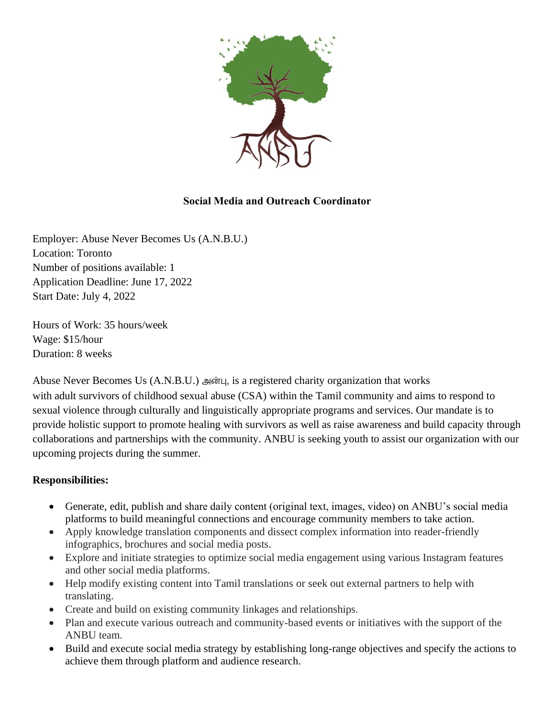

## **Social Media and Outreach Coordinator**

Employer: Abuse Never Becomes Us (A.N.B.U.) Location: Toronto Number of positions available: 1 Application Deadline: June 17, 2022 Start Date: July 4, 2022

Hours of Work: 35 hours/week Wage: \$15/hour Duration: 8 weeks

Abuse Never Becomes Us (A.N.B.U.) அன்பு, is a registered charity organization that works with adult survivors of childhood sexual abuse (CSA) within the Tamil community and aims to respond to sexual violence through culturally and linguistically appropriate programs and services. Our mandate is to provide holistic support to promote healing with survivors as well as raise awareness and build capacity through collaborations and partnerships with the community. ANBU is seeking youth to assist our organization with our upcoming projects during the summer.

### **Responsibilities:**

- Generate, edit, publish and share daily content (original text, images, video) on ANBU's social media platforms to build meaningful connections and encourage community members to take action.
- Apply knowledge translation components and dissect complex information into reader-friendly infographics, brochures and social media posts.
- Explore and initiate strategies to optimize social media engagement using various Instagram features and other social media platforms.
- Help modify existing content into Tamil translations or seek out external partners to help with translating.
- Create and build on existing community linkages and relationships.
- Plan and execute various outreach and community-based events or initiatives with the support of the ANBU team.
- Build and execute social media strategy by establishing long-range objectives and specify the actions to achieve them through platform and audience research.